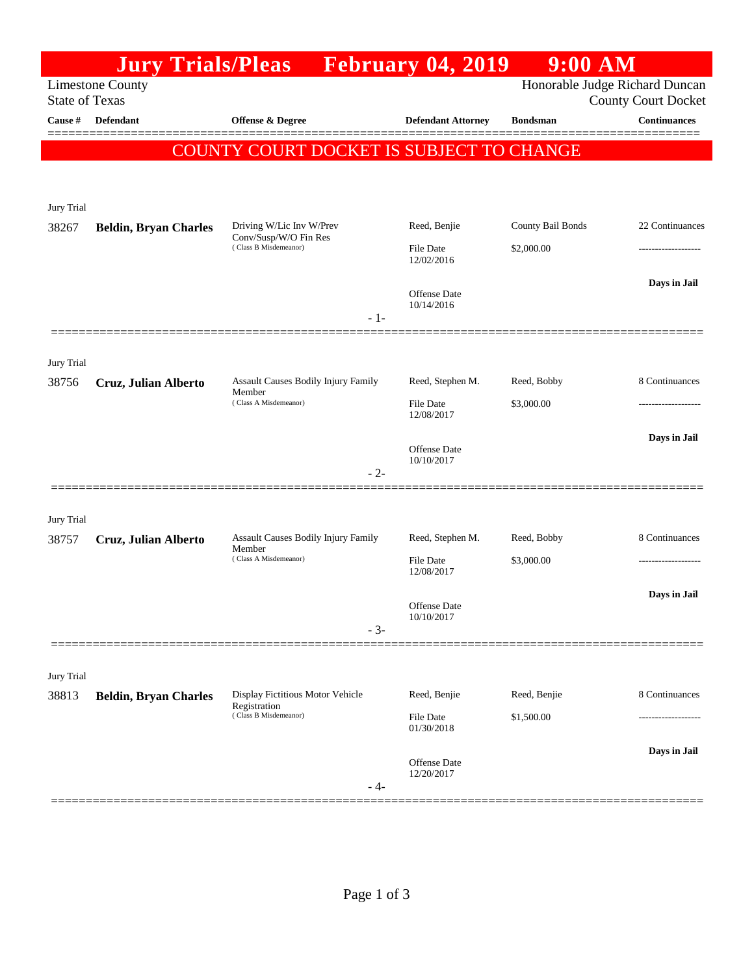|                       | <b>Jury Trials/Pleas</b>     |                                                                            | <b>Expedience February 04, 2019</b> | 9:00 AM                        |                            |
|-----------------------|------------------------------|----------------------------------------------------------------------------|-------------------------------------|--------------------------------|----------------------------|
| <b>State of Texas</b> | <b>Limestone County</b>      |                                                                            |                                     | Honorable Judge Richard Duncan | <b>County Court Docket</b> |
| Cause #               | <b>Defendant</b>             | <b>Offense &amp; Degree</b>                                                | <b>Defendant Attorney</b>           | <b>Bondsman</b>                | <b>Continuances</b>        |
|                       |                              | <b>COUNTY COURT DOCKET IS SUBJECT TO CHANGE</b>                            |                                     |                                |                            |
|                       |                              |                                                                            |                                     |                                |                            |
| Jury Trial            |                              |                                                                            |                                     |                                |                            |
| 38267                 | <b>Beldin, Bryan Charles</b> | Driving W/Lic Inv W/Prev<br>Conv/Susp/W/O Fin Res<br>(Class B Misdemeanor) | Reed, Benjie                        | County Bail Bonds              | 22 Continuances            |
|                       |                              |                                                                            | <b>File Date</b><br>12/02/2016      | \$2,000.00                     |                            |
|                       |                              |                                                                            | <b>Offense Date</b><br>10/14/2016   |                                | Days in Jail               |
|                       |                              | $-1-$                                                                      |                                     |                                |                            |
| Jury Trial            |                              |                                                                            |                                     |                                |                            |
| 38756                 | Cruz, Julian Alberto         | <b>Assault Causes Bodily Injury Family</b><br>Member                       | Reed, Stephen M.                    | Reed, Bobby                    | 8 Continuances             |
|                       |                              | (Class A Misdemeanor)                                                      | File Date<br>12/08/2017             | \$3,000.00                     |                            |
|                       |                              |                                                                            | <b>Offense Date</b>                 |                                | Days in Jail               |
|                       |                              | $-2-$                                                                      | 10/10/2017                          |                                |                            |
|                       |                              |                                                                            |                                     |                                |                            |
| Jury Trial            |                              |                                                                            |                                     |                                |                            |
| 38757                 | Cruz, Julian Alberto         | Assault Causes Bodily Injury Family<br>Member<br>(Class A Misdemeanor)     | Reed, Stephen M.                    | Reed, Bobby                    | 8 Continuances             |
|                       |                              |                                                                            | <b>File Date</b><br>12/08/2017      | \$3,000.00                     |                            |
|                       |                              |                                                                            | Offense Date                        |                                | Days in Jail               |
|                       |                              | $-3-$                                                                      | 10/10/2017                          |                                |                            |
|                       |                              |                                                                            |                                     |                                |                            |
| Jury Trial            |                              |                                                                            |                                     |                                |                            |
| 38813                 | <b>Beldin, Bryan Charles</b> | Display Fictitious Motor Vehicle<br>Registration<br>(Class B Misdemeanor)  | Reed, Benjie<br><b>File Date</b>    | Reed, Benjie                   | 8 Continuances             |
|                       |                              |                                                                            | 01/30/2018                          | \$1,500.00                     |                            |
|                       |                              |                                                                            | Offense Date                        |                                | Days in Jail               |
|                       |                              | - 4-                                                                       | 12/20/2017                          |                                |                            |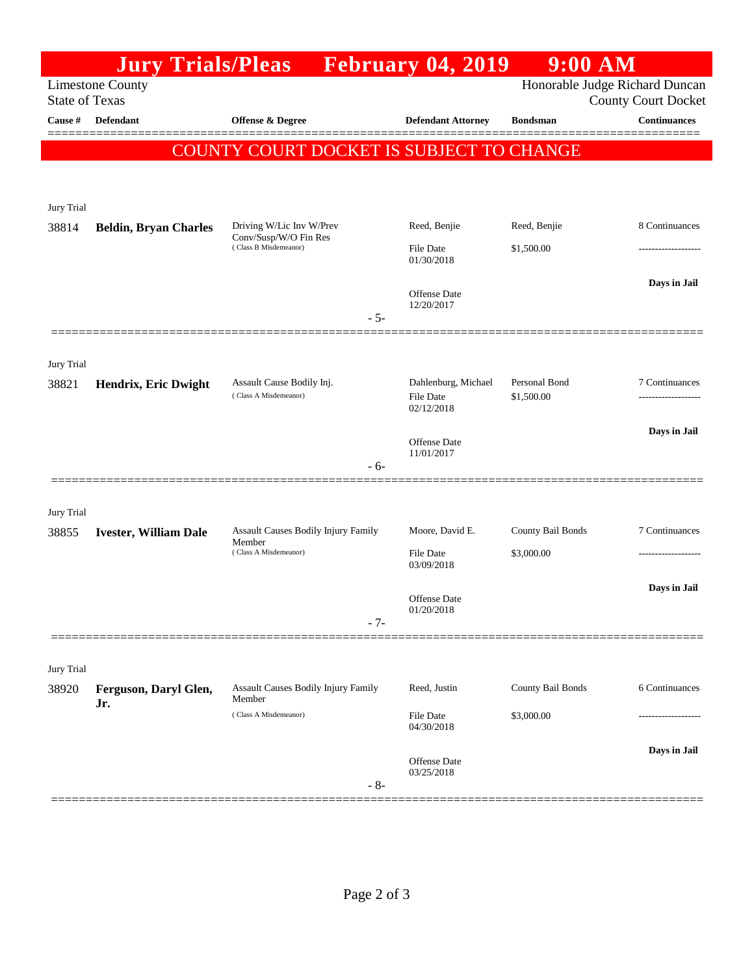|                            | <b>Jury Trials/Pleas</b>     |                                                                                     | <b>February 04, 2019</b>          | $9:00$ AM         |                                                              |
|----------------------------|------------------------------|-------------------------------------------------------------------------------------|-----------------------------------|-------------------|--------------------------------------------------------------|
| <b>State of Texas</b>      | <b>Limestone County</b>      |                                                                                     |                                   |                   | Honorable Judge Richard Duncan<br><b>County Court Docket</b> |
| Cause #                    | <b>Defendant</b>             | <b>Offense &amp; Degree</b>                                                         | <b>Defendant Attorney</b>         | <b>Bondsman</b>   | <b>Continuances</b>                                          |
|                            |                              | COUNTY COURT DOCKET IS SUBJECT TO CHANGE                                            |                                   |                   |                                                              |
| Jury Trial                 |                              |                                                                                     |                                   |                   |                                                              |
| 38814                      | <b>Beldin, Bryan Charles</b> | Driving W/Lic Inv W/Prev<br>Conv/Susp/W/O Fin Res<br>(Class B Misdemeanor)<br>$-5-$ | Reed, Benjie                      | Reed, Benjie      | 8 Continuances                                               |
|                            |                              |                                                                                     | <b>File Date</b><br>01/30/2018    | \$1,500.00        | -----------------                                            |
|                            |                              |                                                                                     | <b>Offense Date</b><br>12/20/2017 |                   | Days in Jail                                                 |
| Jury Trial<br>38821        | Hendrix, Eric Dwight         | Assault Cause Bodily Inj.                                                           | Dahlenburg, Michael               | Personal Bond     | 7 Continuances                                               |
|                            |                              | (Class A Misdemeanor)                                                               | <b>File Date</b><br>02/12/2018    | \$1,500.00        |                                                              |
|                            |                              | $-6-$                                                                               | <b>Offense Date</b><br>11/01/2017 |                   | Days in Jail                                                 |
| Jury Trial                 |                              |                                                                                     |                                   |                   |                                                              |
| 38855                      | <b>Ivester, William Dale</b> | <b>Assault Causes Bodily Injury Family</b><br>Member<br>(Class A Misdemeanor)       | Moore, David E.                   | County Bail Bonds | 7 Continuances                                               |
|                            |                              |                                                                                     | File Date<br>03/09/2018           | \$3,000.00        | -------------------                                          |
|                            |                              | $-7-$                                                                               | <b>Offense Date</b><br>01/20/2018 |                   | Days in Jail                                                 |
|                            |                              |                                                                                     |                                   |                   |                                                              |
| <b>Jury Trial</b><br>38920 | Ferguson, Daryl Glen,<br>Jr. | Assault Causes Bodily Injury Family<br>Member<br>(Class A Misdemeanor)              | Reed, Justin                      | County Bail Bonds | 6 Continuances                                               |
|                            |                              |                                                                                     | <b>File Date</b><br>04/30/2018    | \$3,000.00        |                                                              |
|                            |                              | $-8-$                                                                               | Offense Date<br>03/25/2018        |                   | Days in Jail                                                 |